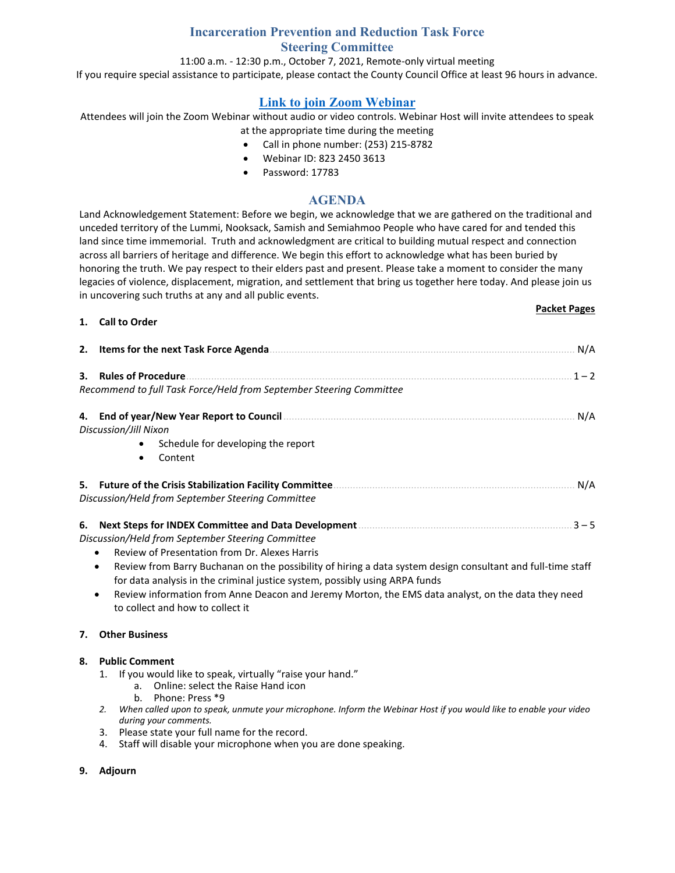# **Incarceration Prevention and Reduction Task Force Steering Committee**

#### 11:00 a.m. - 12:30 p.m., October 7, 2021, Remote-only virtual meeting

If you require special assistance to participate, please contact the County Council Office at least 96 hours in advance.

# **[Link to join Zoom Webinar](https://us06web.zoom.us/j/82324503613?pwd=a1RMMjFEM2YxUmNwMFRmSWptREM5QT09)**

Attendees will join the Zoom Webinar without audio or video controls. Webinar Host will invite attendees to speak at the appropriate time during the meeting

- Call in phone number: (253) 215-8782
- Webinar ID: 823 2450 3613
- Password: 17783

## **AGENDA**

Land Acknowledgement Statement: Before we begin, we acknowledge that we are gathered on the traditional and unceded territory of the Lummi, Nooksack, Samish and Semiahmoo People who have cared for and tended this land since time immemorial. Truth and acknowledgment are critical to building mutual respect and connection across all barriers of heritage and difference. We begin this effort to acknowledge what has been buried by honoring the truth. We pay respect to their elders past and present. Please take a moment to consider the many legacies of violence, displacement, migration, and settlement that bring us together here today. And please join us in uncovering such truths at any and all public events.

#### **1. Call to Order**

## **Packet Pages**

|    | 2. Items for the next Task Force Agenda<br>N/A                                                                                                                                                                                                                                                                                                                                                                                                        |  |  |  |  |  |  |
|----|-------------------------------------------------------------------------------------------------------------------------------------------------------------------------------------------------------------------------------------------------------------------------------------------------------------------------------------------------------------------------------------------------------------------------------------------------------|--|--|--|--|--|--|
| З. | <b>Rules of Procedure</b><br>$1 - 2$<br>Recommend to full Task Force/Held from September Steering Committee                                                                                                                                                                                                                                                                                                                                           |  |  |  |  |  |  |
| 4. | N/A<br>Discussion/Jill Nixon<br>Schedule for developing the report<br>٠<br>Content<br>٠                                                                                                                                                                                                                                                                                                                                                               |  |  |  |  |  |  |
|    | N/A<br>Discussion/Held from September Steering Committee                                                                                                                                                                                                                                                                                                                                                                                              |  |  |  |  |  |  |
| 6. | $3 - 5$<br>Discussion/Held from September Steering Committee<br>Review of Presentation from Dr. Alexes Harris<br>Review from Barry Buchanan on the possibility of hiring a data system design consultant and full-time staff<br>for data analysis in the criminal justice system, possibly using ARPA funds<br>Review information from Anne Deacon and Jeremy Morton, the EMS data analyst, on the data they need<br>to collect and how to collect it |  |  |  |  |  |  |
| 7. | <b>Other Business</b>                                                                                                                                                                                                                                                                                                                                                                                                                                 |  |  |  |  |  |  |
| 8. | <b>Public Comment</b>                                                                                                                                                                                                                                                                                                                                                                                                                                 |  |  |  |  |  |  |

- 1. If you would like to speak, virtually "raise your hand."
	- a. Online: select the Raise Hand icon
		- b. Phone: Press \*9
- *2. When called upon to speak, unmute your microphone. Inform the Webinar Host if you would like to enable your video during your comments.*
- 3. Please state your full name for the record.
- 4. Staff will disable your microphone when you are done speaking.

## **9. Adjourn**